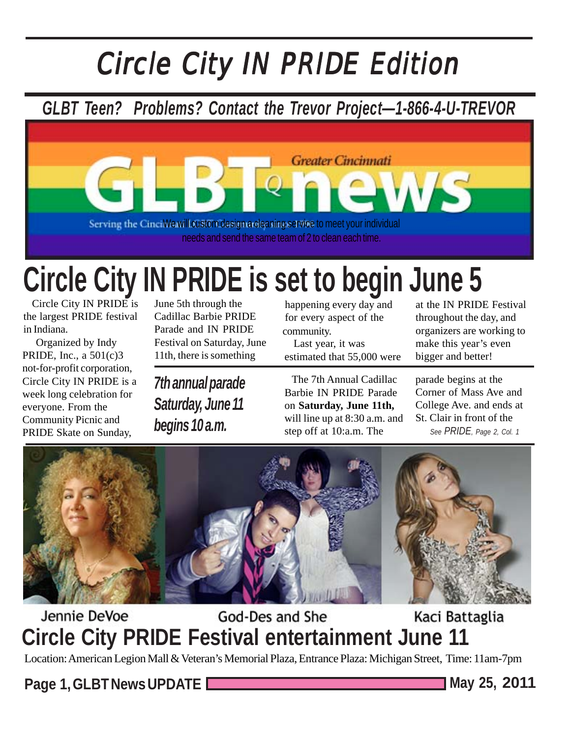# Circle City IN PRIDE Edition

# *GLBT Teen? Problems? Contact the Trevor Project—1-866-4-U-TREVOR*



# **Circle City IN PRIDE is set to begin June 5**

 Circle City IN PRIDE is the largest PRIDE festival in Indiana.

 Organized by Indy PRIDE, Inc., a 501(c)3 not-for-profit corporation, Circle City IN PRIDE is a week long celebration for everyone. From the Community Picnic and PRIDE Skate on Sunday,

June 5th through the Cadillac Barbie PRIDE Parade and IN PRIDE Festival on Saturday, June 11th, there is something

*7th annual parade Saturday, June 11 begins 10 a.m.*

happening every day and for every aspect of the community.

 Last year, it was estimated that 55,000 were

 The 7th Annual Cadillac Barbie IN PRIDE Parade on **Saturday, June 11th,** will line up at 8:30 a.m. and step off at 10:a.m. The

at the IN PRIDE Festival throughout the day, and organizers are working to make this year's even bigger and better!

parade begins at the Corner of Mass Ave and College Ave. and ends at St. Clair in front of the *See PRIDE, Page 2, Col. 1*



#### Jennie DeVoe God-Des and She Kaci Battaglia **Circle City PRIDE Festival entertainment June 11**

Location: American Legion Mall & Veteran's Memorial Plaza, Entrance Plaza: Michigan Street, Time: 11am-7pm

**Page 1, GLBT News UPDATE May 25, 2011**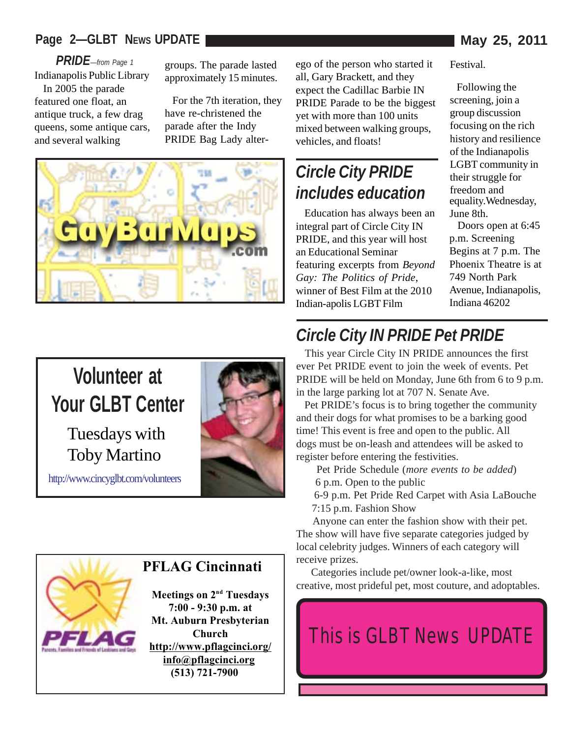#### **Page 2—GLBT NEWS UPDATE May 25, 2011**

*PRIDE—from Page 1*

Indianapolis Public Library In 2005 the parade featured one float, an antique truck, a few drag queens, some antique cars, and several walking

groups. The parade lasted approximately 15 minutes.

 For the 7th iteration, they have re-christened the parade after the Indy PRIDE Bag Lady alter-



# **Volunteer at Your GLBT Center** Tuesdays with Toby Martino

http://www.cincyglbt.com/volunteers



#### **PFLAG Cincinnati**

**Meetings on 2<sup>nd</sup> Tuesdays 7:00 - 9:30 p.m. at Mt. Auburn Presbyterian Church http://www.pflagcinci.org/ info@pflagcinci.org (513) 721-7900**

ego of the person who started it all, Gary Brackett, and they expect the Cadillac Barbie IN PRIDE Parade to be the biggest yet with more than 100 units mixed between walking groups, vehicles, and floats!

### *Circle City PRIDE includes education*

 Education has always been an integral part of Circle City IN PRIDE, and this year will host an Educational Seminar featuring excerpts from *Beyond Gay: The Politics of Pride*, winner of Best Film at the 2010 Indian-apolis LGBT Film

Festival.

 Following the screening, join a group discussion focusing on the rich history and resilience of the Indianapolis LGBT community in their struggle for freedom and<br>equality. Wednesday, June 8th.

 Doors open at 6:45 p.m. Screening Begins at 7 p.m. The Phoenix Theatre is at 749 North Park Avenue, Indianapolis, Indiana 46202

### *Circle City IN PRIDE Pet PRIDE*

 This year Circle City IN PRIDE announces the first ever Pet PRIDE event to join the week of events. Pet PRIDE will be held on Monday, June 6th from 6 to 9 p.m. in the large parking lot at 707 N. Senate Ave.

 Pet PRIDE's focus is to bring together the community and their dogs for what promises to be a barking good time! This event is free and open to the public. All dogs must be on-leash and attendees will be asked to register before entering the festivities.

Pet Pride Schedule (*more events to be added*)

- 6 p.m. Open to the public
- 6-9 p.m. Pet Pride Red Carpet with Asia LaBouche 7:15 p.m. Fashion Show

 Anyone can enter the fashion show with their pet. The show will have five separate categories judged by local celebrity judges. Winners of each category will receive prizes.

 Categories include pet/owner look-a-like, most creative, most prideful pet, most couture, and adoptables.

# This is GLBT News UPDATE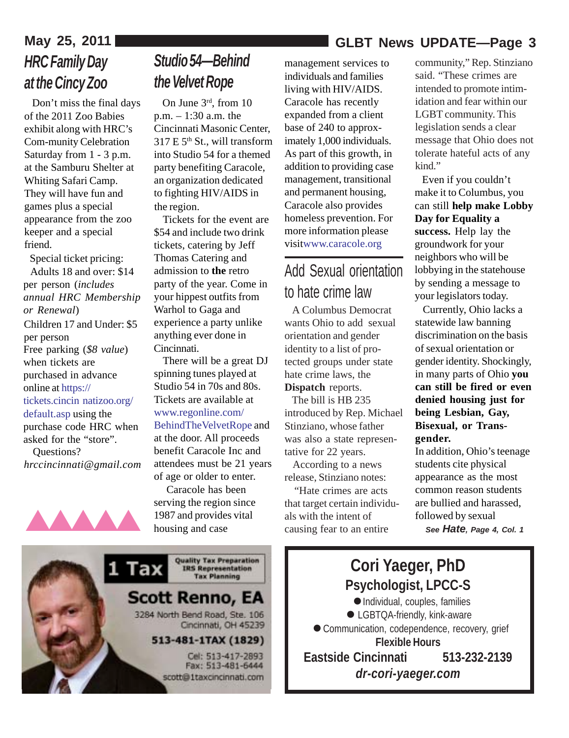#### **May 25, 2011 GLBT News UPDATE—Page 3**

# *HRC Family Day at the Cincy Zoo*

 Don't miss the final days of the 2011 Zoo Babies exhibit along with HRC's Com-munity Celebration Saturday from 1 - 3 p.m. at the Samburu Shelter at Whiting Safari Camp. They will have fun and games plus a special appearance from the zoo keeper and a special friend.

 Special ticket pricing: Adults 18 and over: \$14 per person (*includes annual HRC Membership or Renewal*) Children 17 and Under: \$5

per person Free parking (*\$8 value*) when tickets are purchased in advance online at https:// tickets.cincin-natizoo.org/

default.asp using the purchase code HRC when asked for the "store".

 Questions? *hrccincinnati@gmail.com*



### *Studio 54—Behind the Velvet Rope*

 On June 3rd, from 10 p.m. – 1:30 a.m. the Cincinnati Masonic Center,  $317 \text{ E } 5^{\text{th}}$  St., will transform into Studio 54 for a themed party benefiting Caracole, an organization dedicated to fighting HIV/AIDS in the region.

 Tickets for the event are \$54 and include two drink tickets, catering by Jeff Thomas Catering and admission to **the** retro party of the year. Come in your hippest outfits from Warhol to Gaga and experience a party unlike anything ever done in Cincinnati.

 There will be a great DJ spinning tunes played at Studio 54 in 70s and 80s. Tickets are available at www.regonline.com/ BehindTheVelvetRope and at the door. All proceeds benefit Caracole Inc and attendees must be 21 years of age or older to enter.

 Caracole has been serving the region since 1987 and provides vital housing and case

management services to individuals and families living with HIV/AIDS. Caracole has recently expanded from a client base of 240 to approximately 1,000 individuals. As part of this growth, in addition to providing case management, transitional and permanent housing, Caracole also provides homeless prevention. For more information please visitwww.caracole.org

### Add Sexual orientation to hate crime law

 A Columbus Democrat wants Ohio to add sexual orientation and gender identity to a list of protected groups under state hate crime laws, the **Dispatch** reports.

 The bill is HB 235 introduced by Rep. Michael Stinziano, whose father was also a state representative for 22 years.

 According to a news release, Stinziano notes:

 "Hate crimes are acts that target certain individuals with the intent of causing fear to an entire 1987 and provides vital als with the intent of followed by sexual housing and case causing fear to an entire See Hate, Page 4

community," Rep. Stinziano said. "These crimes are intended to promote intimidation and fear within our LGBT community. This legislation sends a clear message that Ohio does not tolerate hateful acts of any kind."

 Even if you couldn't make it to Columbus, you can still **help make Lobby Day for Equality a success.** Help lay the groundwork for your neighbors who will be lobbying in the statehouse by sending a message to your legislators today.

 Currently, Ohio lacks a statewide law banning discrimination on the basis of sexual orientation or gender identity. Shockingly, in many parts of Ohio **you can still be fired or even denied housing just for being Lesbian, Gay, Bisexual, or Transgender.**

In addition, Ohio's teenage students cite physical appearance as the most common reason students are bullied and harassed, *See Hate, Page 4, Col. 1*

**Quality Tax Preparation** Tax **IRS Representation**<br>Tax Planning **Scott Renno, EA** 3284 North Bend Road, Ste. 106 Cincinnati, OH 45239 513-481-1TAX (1829) Cel: 513-417-2893 Fax: 513-481-6444 scott@1taxcincinnati.com

#### **Cori Yaeger, PhD**<br> **Sychologist, LPCC-S**<br>
• Individual, couples, familie **Psychologist, LPCC-S** Individual, couples, families ● LGBTQA-friendly, kink-aware ● Communication, codependence, recovery, grief **Flexible Hours Eastside Cincinnati 513-232-2139**  $P_s$ .

*dr-cori-yaeger.com*